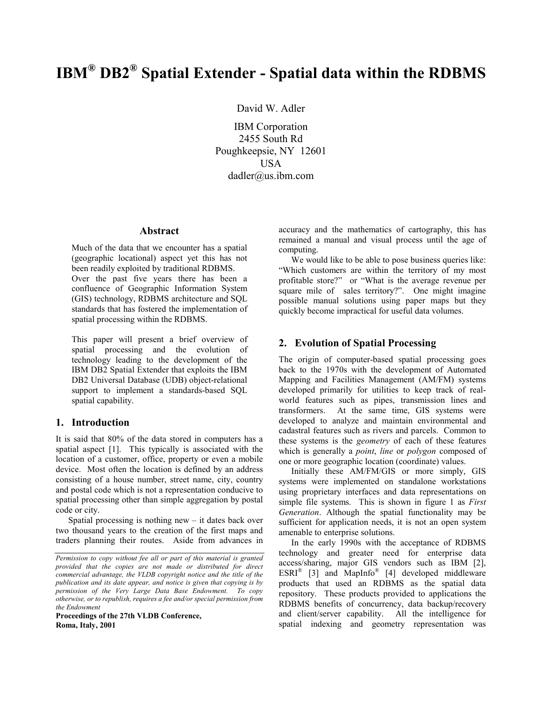# **IBM® DB2® Spatial Extender - Spatial data within the RDBMS**

David W. Adler

IBM Corporation 2455 South Rd Poughkeepsie, NY 12601 USA dadler@us.ibm.com

## **Abstract**

Much of the data that we encounter has a spatial (geographic locational) aspect yet this has not been readily exploited by traditional RDBMS. Over the past five years there has been a confluence of Geographic Information System (GIS) technology, RDBMS architecture and SQL standards that has fostered the implementation of spatial processing within the RDBMS.

This paper will present a brief overview of spatial processing and the evolution of technology leading to the development of the IBM DB2 Spatial Extender that exploits the IBM DB2 Universal Database (UDB) object-relational support to implement a standards-based SQL spatial capability.

## **1. Introduction**

It is said that 80% of the data stored in computers has a spatial aspect [1]. This typically is associated with the location of a customer, office, property or even a mobile device. Most often the location is defined by an address consisting of a house number, street name, city, country and postal code which is not a representation conducive to spatial processing other than simple aggregation by postal code or city.

Spatial processing is nothing new  $-$  it dates back over two thousand years to the creation of the first maps and traders planning their routes. Aside from advances in

**Proceedings of the 27th VLDB Conference, Roma, Italy, 2001** 

accuracy and the mathematics of cartography, this has remained a manual and visual process until the age of computing.

We would like to be able to pose business queries like: "Which customers are within the territory of my most profitable store?" or "What is the average revenue per square mile of sales territory?". One might imagine possible manual solutions using paper maps but they quickly become impractical for useful data volumes.

### **2. Evolution of Spatial Processing**

The origin of computer-based spatial processing goes back to the 1970s with the development of Automated Mapping and Facilities Management (AM/FM) systems developed primarily for utilities to keep track of realworld features such as pipes, transmission lines and transformers. At the same time, GIS systems were developed to analyze and maintain environmental and cadastral features such as rivers and parcels. Common to these systems is the *geometry* of each of these features which is generally a *point*, *line* or *polygon* composed of one or more geographic location (coordinate) values.

Initially these AM/FM/GIS or more simply, GIS systems were implemented on standalone workstations using proprietary interfaces and data representations on simple file systems. This is shown in figure 1 as *First Generation*. Although the spatial functionality may be sufficient for application needs, it is not an open system amenable to enterprise solutions.

In the early 1990s with the acceptance of RDBMS technology and greater need for enterprise data access/sharing, major GIS vendors such as IBM [2],  $ESRI^{\otimes}$  [3] and MapInfo<sup>®</sup> [4] developed middleware products that used an RDBMS as the spatial data repository. These products provided to applications the RDBMS benefits of concurrency, data backup/recovery and client/server capability. All the intelligence for spatial indexing and geometry representation was

*Permission to copy without fee all or part of this material is granted provided that the copies are not made or distributed for direct commercial advantage, the VLDB copyright notice and the title of the publication and its date appear, and notice is given that copying is by permission of the Very Large Data Base Endowment. To copy otherwise, or to republish, requires a fee and/or special permission from the Endowment*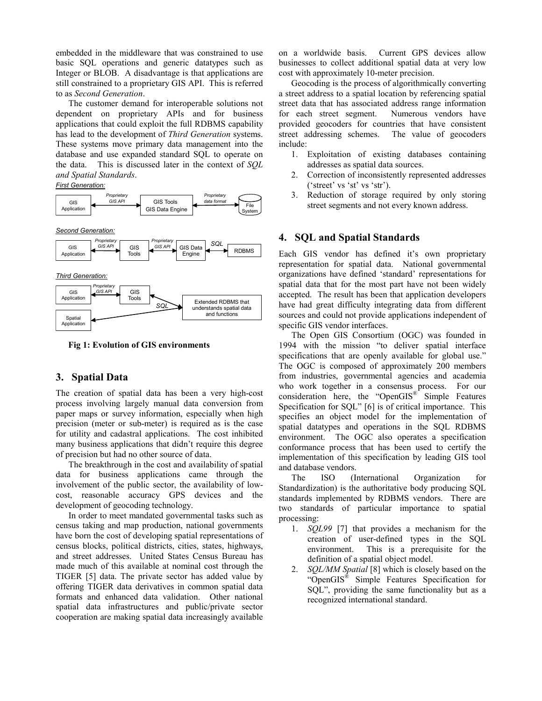embedded in the middleware that was constrained to use basic SQL operations and generic datatypes such as Integer or BLOB. A disadvantage is that applications are still constrained to a proprietary GIS API. This is referred to as *Second Generation*.

The customer demand for interoperable solutions not dependent on proprietary APIs and for business applications that could exploit the full RDBMS capability has lead to the development of *Third Generation* systems. These systems move primary data management into the database and use expanded standard SQL to operate on the data. This is discussed later in the context of *SQL and Spatial Standards*.

#### *First Generation:*







**Fig 1: Evolution of GIS environments** 

## **3. Spatial Data**

The creation of spatial data has been a very high-cost process involving largely manual data conversion from paper maps or survey information, especially when high precision (meter or sub-meter) is required as is the case for utility and cadastral applications. The cost inhibited many business applications that didn't require this degree of precision but had no other source of data.

The breakthrough in the cost and availability of spatial data for business applications came through the involvement of the public sector, the availability of lowcost, reasonable accuracy GPS devices and the development of geocoding technology.

In order to meet mandated governmental tasks such as census taking and map production, national governments have born the cost of developing spatial representations of census blocks, political districts, cities, states, highways, and street addresses. United States Census Bureau has made much of this available at nominal cost through the TIGER [5] data. The private sector has added value by offering TIGER data derivatives in common spatial data formats and enhanced data validation. Other national spatial data infrastructures and public/private sector cooperation are making spatial data increasingly available

on a worldwide basis. Current GPS devices allow businesses to collect additional spatial data at very low cost with approximately 10-meter precision.

Geocoding is the process of algorithmically converting a street address to a spatial location by referencing spatial street data that has associated address range information for each street segment. Numerous vendors have provided geocoders for countries that have consistent street addressing schemes. The value of geocoders include:

- 1. Exploitation of existing databases containing addresses as spatial data sources.
- 2. Correction of inconsistently represented addresses ('street' vs 'st' vs 'str').
- 3. Reduction of storage required by only storing street segments and not every known address.

## **4. SQL and Spatial Standards**

Each GIS vendor has defined it's own proprietary representation for spatial data. National governmental organizations have defined 'standard' representations for spatial data that for the most part have not been widely accepted. The result has been that application developers have had great difficulty integrating data from different sources and could not provide applications independent of specific GIS vendor interfaces.

The Open GIS Consortium (OGC) was founded in 1994 with the mission "to deliver spatial interface specifications that are openly available for global use." The OGC is composed of approximately 200 members from industries, governmental agencies and academia who work together in a consensus process. For our consideration here, the "OpenGIS<sup>®</sup> Simple Features Specification for SQL" [6] is of critical importance. This specifies an object model for the implementation of spatial datatypes and operations in the SQL RDBMS environment. The OGC also operates a specification conformance process that has been used to certify the implementation of this specification by leading GIS tool and database vendors.

The ISO (International Organization for Standardization) is the authoritative body producing SQL standards implemented by RDBMS vendors. There are two standards of particular importance to spatial processing:

- 1. *SQL99* [7] that provides a mechanism for the creation of user-defined types in the SQL environment. This is a prerequisite for the definition of a spatial object model.
- 2. *SQL/MM Spatial* [8] which is closely based on the "OpenGIS® Simple Features Specification for SQL", providing the same functionality but as a recognized international standard.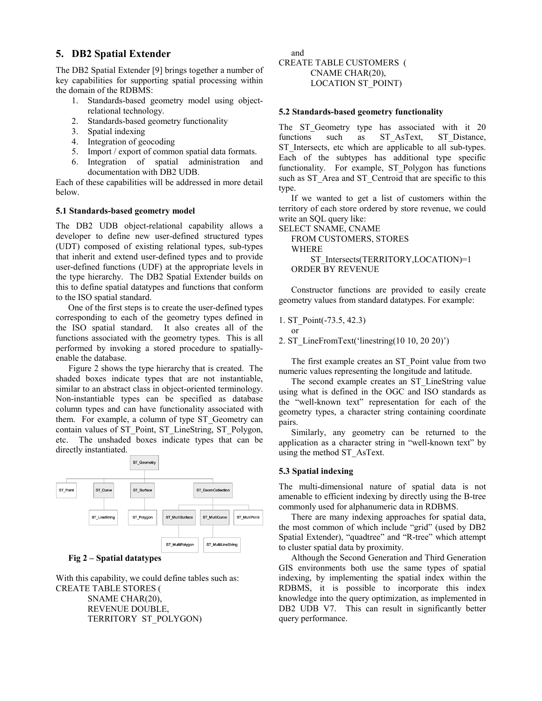## **5. DB2 Spatial Extender**

The DB2 Spatial Extender [9] brings together a number of key capabilities for supporting spatial processing within the domain of the RDBMS:

- 1. Standards-based geometry model using objectrelational technology.
- 2. Standards-based geometry functionality
- 3. Spatial indexing
- 4. Integration of geocoding
- 5. Import / export of common spatial data formats.
- 6. Integration of spatial administration and documentation with DB2 UDB.

Each of these capabilities will be addressed in more detail below.

#### **5.1 Standards-based geometry model**

The DB2 UDB object-relational capability allows a developer to define new user-defined structured types (UDT) composed of existing relational types, sub-types that inherit and extend user-defined types and to provide user-defined functions (UDF) at the appropriate levels in the type hierarchy. The DB2 Spatial Extender builds on this to define spatial datatypes and functions that conform to the ISO spatial standard.

One of the first steps is to create the user-defined types corresponding to each of the geometry types defined in the ISO spatial standard. It also creates all of the functions associated with the geometry types. This is all performed by invoking a stored procedure to spatiallyenable the database.

Figure 2 shows the type hierarchy that is created. The shaded boxes indicate types that are not instantiable, similar to an abstract class in object-oriented terminology. Non-instantiable types can be specified as database column types and can have functionality associated with them. For example, a column of type ST\_Geometry can contain values of ST\_Point, ST\_LineString, ST\_Polygon, etc. The unshaded boxes indicate types that can be directly instantiated.



**Fig 2 – Spatial datatypes** 

With this capability, we could define tables such as: CREATE TABLE STORES ( SNAME CHAR(20), REVENUE DOUBLE, TERRITORY ST\_POLYGON)

and CREATE TABLE CUSTOMERS ( CNAME CHAR(20), LOCATION ST\_POINT)

#### **5.2 Standards-based geometry functionality**

The ST Geometry type has associated with it 20 functions such as ST\_AsText, ST\_Distance, ST Intersects, etc which are applicable to all sub-types. Each of the subtypes has additional type specific functionality. For example, ST\_Polygon has functions such as ST\_Area and ST\_Centroid that are specific to this type.

If we wanted to get a list of customers within the territory of each store ordered by store revenue, we could write an SQL query like:

SELECT SNAME, CNAME FROM CUSTOMERS, STORES WHERE ST\_Intersects(TERRITORY,LOCATION)=1 ORDER BY REVENUE

Constructor functions are provided to easily create geometry values from standard datatypes. For example:

1. ST\_Point(-73.5, 42.3)

or

2. ST\_LineFromText('linestring(10 10, 20 20)')

The first example creates an ST\_Point value from two numeric values representing the longitude and latitude.

The second example creates an ST\_LineString value using what is defined in the OGC and ISO standards as the "well-known text" representation for each of the geometry types, a character string containing coordinate pairs.

Similarly, any geometry can be returned to the application as a character string in "well-known text" by using the method ST\_AsText.

#### **5.3 Spatial indexing**

The multi-dimensional nature of spatial data is not amenable to efficient indexing by directly using the B-tree commonly used for alphanumeric data in RDBMS.

There are many indexing approaches for spatial data, the most common of which include "grid" (used by DB2 Spatial Extender), "quadtree" and "R-tree" which attempt to cluster spatial data by proximity.

Although the Second Generation and Third Generation GIS environments both use the same types of spatial indexing, by implementing the spatial index within the RDBMS, it is possible to incorporate this index knowledge into the query optimization, as implemented in DB2 UDB V7. This can result in significantly better query performance.